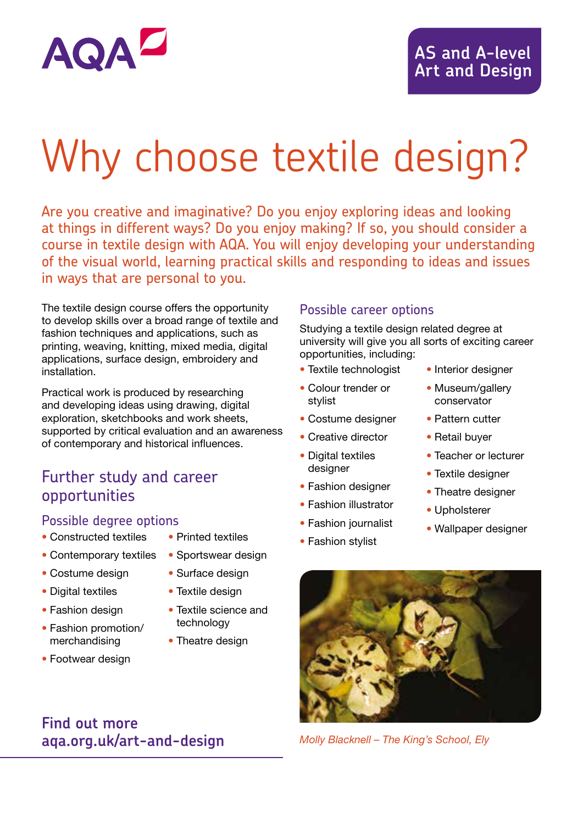

# Why choose textile design?

Are you creative and imaginative? Do you enjoy exploring ideas and looking at things in different ways? Do you enjoy making? If so, you should consider a course in textile design with AQA. You will enjoy developing your understanding of the visual world, learning practical skills and responding to ideas and issues in ways that are personal to you.

The textile design course offers the opportunity to develop skills over a broad range of textile and fashion techniques and applications, such as printing, weaving, knitting, mixed media, digital applications, surface design, embroidery and installation.

Practical work is produced by researching and developing ideas using drawing, digital exploration, sketchbooks and work sheets, supported by critical evaluation and an awareness of contemporary and historical influences.

#### Further study and career opportunities

#### Possible degree options

- Constructed textiles
- Contemporary textiles
- Sportswear design
- Costume design
- Digital textiles
- Fashion design
- Fashion promotion/ merchandising
- Footwear design

**Find out more**

**aqa.org.uk/art-and-design**

• Surface design

• Printed textiles

- Textile design
- Textile science and technology
- Theatre design

#### Possible career options

Studying a textile design related degree at university will give you all sorts of exciting career opportunities, including:

- Textile technologist
- Colour trender or stylist
- Costume designer
- Creative director
- Digital textiles desianer
- Fashion designer
- Fashion illustrator
- Fashion journalist
- Fashion stylist
- Interior designer
- Museum/gallery conservator
- Pattern cutter
- Retail buyer
- Teacher or lecturer
- Textile designer
- Theatre designer
- Upholsterer
- Wallpaper designer



*Molly Blacknell – The King's School, Ely*